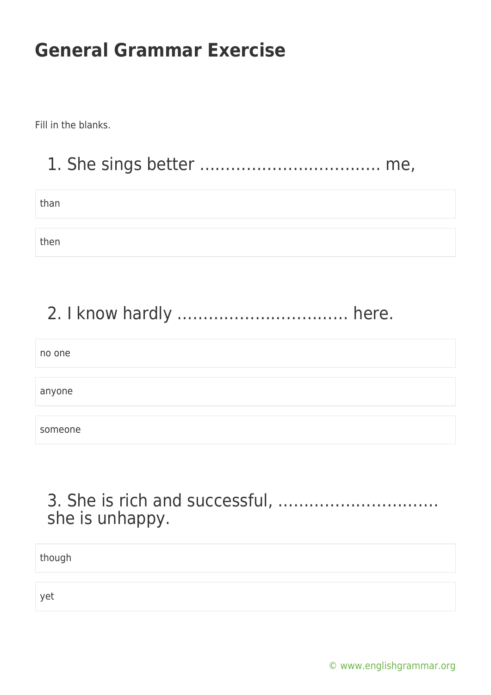Fill in the blanks.

### 1. She sings better …………………………….. me,

than

then

### 2. I know hardly …………………………… here.

no one anyone someone

### 3. She is rich and successful, …………………………. she is unhappy.

though

yet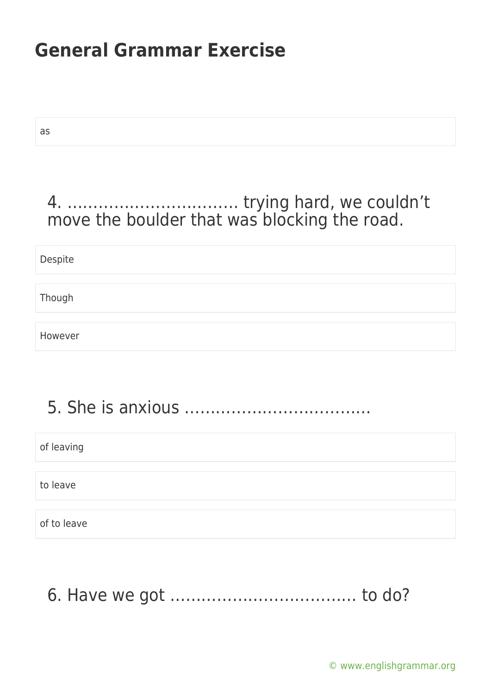as

### 4. …………………………… trying hard, we couldn't move the boulder that was blocking the road.

Despite

Though

However

# 5. She is anxious ………………………………

of leaving

to leave

of to leave

6. Have we got ……………………………… to do?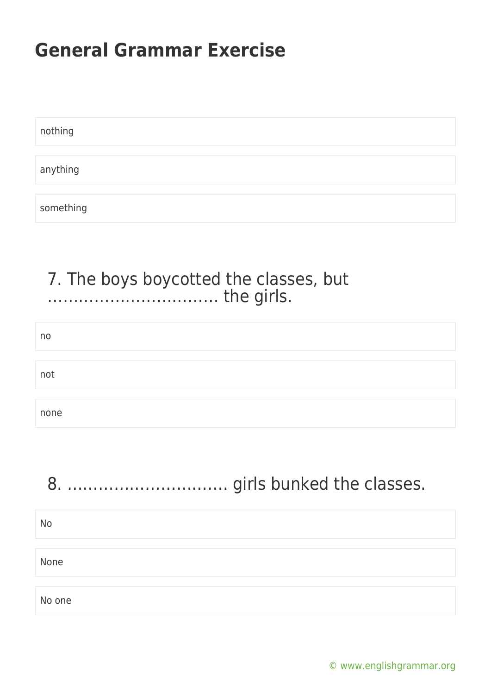| nothing   |  |  |  |
|-----------|--|--|--|
|           |  |  |  |
| anything  |  |  |  |
|           |  |  |  |
| something |  |  |  |

### 7. The boys boycotted the classes, but …………………………… the girls.

| no   |  |  |
|------|--|--|
|      |  |  |
| not  |  |  |
|      |  |  |
| none |  |  |

| <b>No</b> |  |
|-----------|--|
| None      |  |
| No one    |  |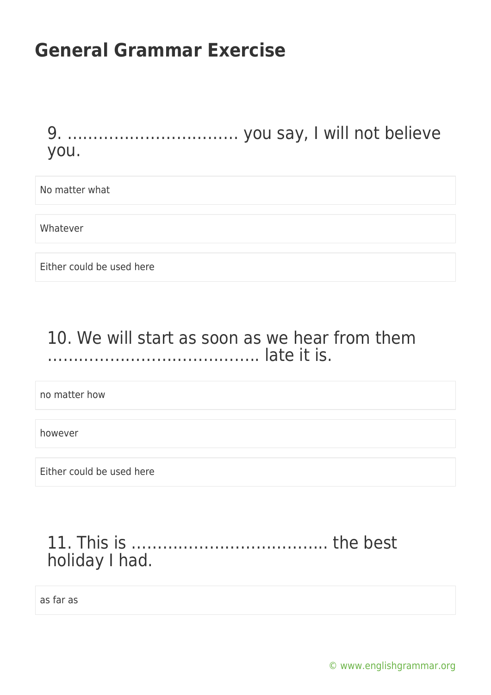9. …………………………… you say, I will not believe you.

No matter what

Whatever

Either could be used here

#### 10. We will start as soon as we hear from them ………………………………….. late it is.

no matter how

however

Either could be used here

#### 11. This is ……………………………….. the best holiday I had.

as far as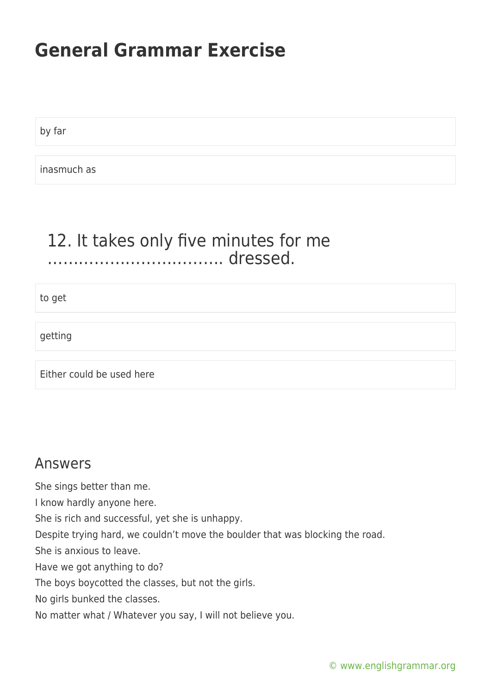by far

inasmuch as

#### 12. It takes only five minutes for me ……………………………. dressed.

to get

getting

Either could be used here

#### Answers

She sings better than me.

I know hardly anyone here.

She is rich and successful, yet she is unhappy.

Despite trying hard, we couldn't move the boulder that was blocking the road.

She is anxious to leave.

Have we got anything to do?

The boys boycotted the classes, but not the girls.

No girls bunked the classes.

No matter what / Whatever you say, I will not believe you.